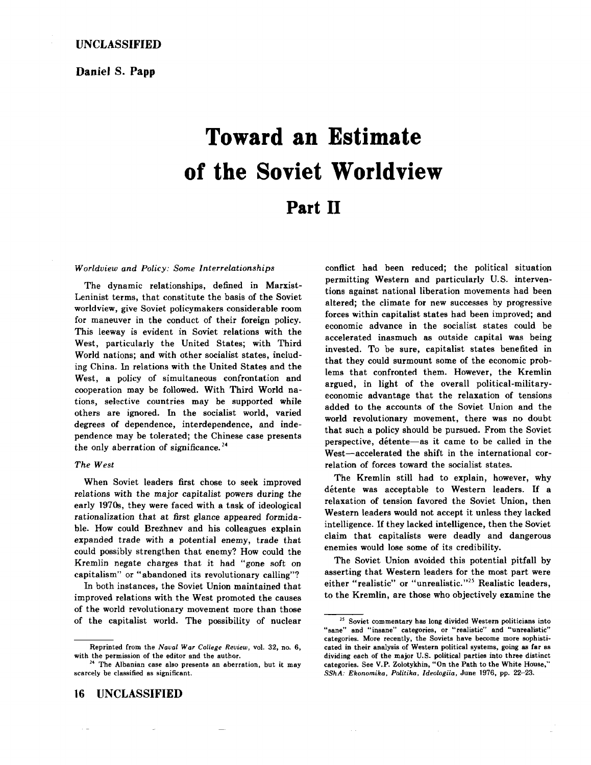## **Daniel S. Papp**

# **Toward an Estimate of the Soviet Worldview Part II**

### *Worldview and Policy: Some Interrelationships*

The dynamic relationships, defined in Marxist-Leninist terms, that constitute the basis of the Soviet worldview, give Soviet policymakers considerable room for maneuver in the conduct of their foreign policy. This leeway is evident in Soviet relations with the West, particularly the United States; with Third World nations; and with other socialist states, including China. In relations with the United States and the West, a policy of simultaneous confrontation and cooperation may be followed. With Third World nations, selective countries may be supported while others are ignored. In the socialist world, varied degrees of dependence, interdependence, and independence may be tolerated; the Chinese case presents the only aberration of significance.<sup>24</sup>

## *The West*

When Soviet leaders first chose to seek improved relations with the major capitalist powers during the early 1970s, they were faced with a task of ideological rationalization that at first glance appeared formidable. How could Brezhnev and his colleagues explain expanded trade with a potential enemy, trade that could possibly strengthen that enemy? How could the Kremlin negate charges that it had "gone soft on capitalism" or "abandoned its revolutionary calling"?

In both instances, the Soviet Union maintained that improved relations with the West promoted the causes of the world revolutionary movement more than those of the capitalist world. The possibility of nuclear permitting Western and particularly U.S. interventions against national liberation movements had been altered; the climate for new successes by progressive forces within capitalist states had been improved; and economic advance in the socialist states could be accelerated inasmuch as outside capital was being invested. To be sure, capitalist states benefited in that they could surmount some of the economic problems that confronted them. However, the Kremlin argued, in light of the overall political-militaryeconomic advantage that the relaxation of tensions added to the accounts of the Soviet Union and the world revolutionary movement, there was no doubt that such a policy should be pursued. From the Soviet perspective, detente-as it came to be called in the West-accelerated the shift in the international correlation of forces toward the socialist states.

conflict had been reduced; the political situation

The Kremlin still had to explain, however, why détente was acceptable to Western leaders. If a relaxation of tension favored the Soviet Union, then Western leaders would not accept it unless they lacked intelligence. If they lacked intelligence, then the Soviet claim that capitalists were deadly and dangerous enemies would lose some of its credibility.

The Soviet Union avoided this potential pitfall by asserting that Western leaders for the most part were either "realistic" or "unrealistic."<sup>25</sup> Realistic leaders, to the Kremlin, are those who objectively examine th;

Reprinted from the *Naual War College Review,* vol. 32, no. 6,

<sup>&</sup>lt;sup>4</sup> The Albanian case also presents an aberration, but it may scarcely be classified as significant.

<sup>&</sup>lt;sup>25</sup> Soviet commentary has long divided Western politicians into **"sane" and "insane" categories, or "realistic" and "unrealistic"**  categories. More recently, the Soviets have become more sophisticated in their analysis of Western political systems, going as far as dividing each of the major U.S. political parties into three distinct categories. See V.P. Zolotykhin, "On the Path to the White House," *SShA: Ekonomika, Politika, ldeologiia,* June 1976, pp. 22-23. '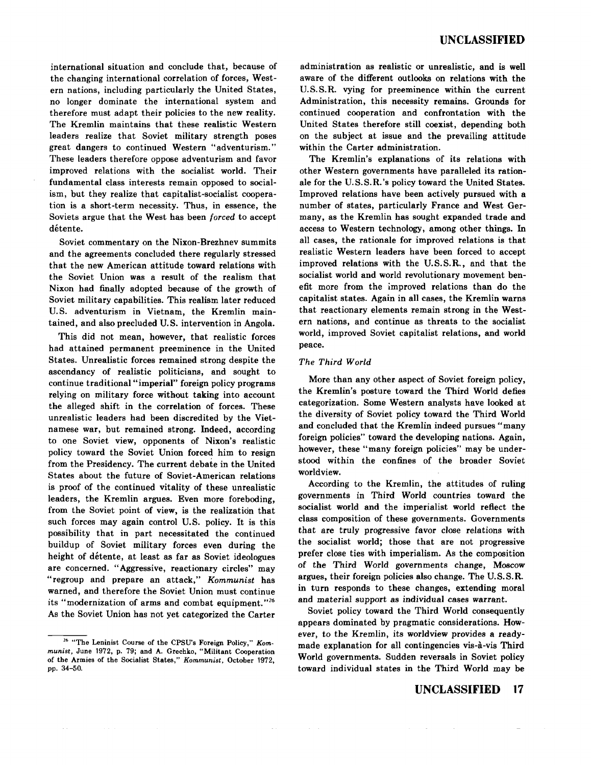international situation and conclude that, because of the changing international correlation of forces, Western nations, including particularly the United States, no longer dominate the international system and therefore must adapt their policies to the new reality. The Kremlin maintains that these realistic Western leaders realize that Soviet military strength poses great dangers to continued Western "adventurism." These leaders therefore oppose adventurism and favor improved relations with the socialist world. Their fundamental class interests remain opposed to socialism, but they realize that capitalist-socialist cooperation is a short-term necessity. Thus, in essence, the Soviets argue that the West has been *forced* to accept détente.

Soviet commentary on the Nixon-Brezhnev summits and the agreements concluded there regularly stressed that the new American attitude toward relations with the Soviet Union was a result of the realism that Nixon had finally adopted because of the growth of Soviet military capabilities. This realism later reduced U.S. adventurism in Vietnam, the Kremlin maintained, and also precluded U.S. intervention in Angola.

This did not mean, however, that realistic forces had attained permanent preeminence in the United States. Unrealistic forces remained strong despite the ascendancy of realistic politicians, and sought to continue traditional "imperial" foreign policy programs relying on military force without taking into account the alleged shift in the correlation of forces. These unrealistic leaders had been discredited by the Vietnamese war, but remained strong. Indeed, according to one Soviet view, opponents of Nixon's realistic policy toward the Soviet Union forced him to resign from the Presidency. The current debate in the United States about the future of Soviet-American relations is proof of the continued vitality of these unrealistic leaders, the Kremlin argues. Even more foreboding, from the Soviet point of view, is the realization that such forces may again control U.S. policy. It is this possibility that in part necessitated the continued buildup of Soviet military forces even during the height of detente, at least as far as Soviet ideologues are concerned. "Aggressive, reactionary circles" may "regroup and prepare an attack," *Kommunist* has warned, and therefore the Soviet Union must continue its "modernization of arms and combat equipment."26 As the Soviet Union has not yet categorized the Carter

administration as realistic or unrealistic, and is well aware of the different outlooks on relations with the U.S. S.R. vying for preeminence within the current Administration, this necessity remains. Grounds for continued cooperation and confrontation with the United States therefore still coexist, depending both on the subject at issue and the prevailing attitude within the Carter administration.

The Kremlin's explanations of its relations with other Western governments have paralleled its rationale for the U.S.S.R.'s policy toward the United States. Improved relations have been actively pursued with a number of states, particularly France and West Germany, as the Kremlin has sought expanded trade and access to Western technology, among other things. In all cases, the rationale for improved relations is that realistic Western leaders have been forced to accept improved relations with the U.S. S. R., and that the socialist world and world revolutionary movement benefit more from the improved relations than do the capitalist states. Again in all cases, the Kremlin warns that reactionary elements remain strong in the Western nations, and continue as threats to the socialist world, improved Soviet capitalist relations, and world peace.

## *The Third World*

More than any other aspect of Soviet foreign policy, the Kremlin's posture toward the Third World defies categorization. Some Western analysts have looked at the diversity of Soviet policy toward the Third World and concluded that the Kremlin indeed pursues "many foreign policies" toward the developing nations. Again, however, these "many foreign policies" may be understood within the confines of the broader Soviet world view.

According to the Kremlin, the attitudes of ruling governments in Third World countries toward the socialist world and the imperialist world reflect the class composition of these governments. Governments that are truly progressive favor close relations with the socialist world; those that are not progressive prefer close ties with imperialism. As the composition of the Third World governments change, Moscow argues, their foreign policies also change. The U.S.S.R. in turn responds to these changes, extending moral and material support as individual cases warrant.

Soviet policy toward the Third World consequently appears dominated by pragmatic considerations. However, to the Kremlin, its worldview provides a readymade explanation for all contingencies vis-a-vis Third World governments. Sudden reversals in Soviet policy toward individual states in the Third World may be

## **UNCLASSIFIED 17**

<sup>16 &</sup>quot;The Leninist Course of the CPSU's Foreign Policy," *Kommunist,* June 1972, p. 79; and A. Grechko, "Militant Cooperation of the Armies of the Socialist States," *Kommunist,* October 1972, pp. 34-50.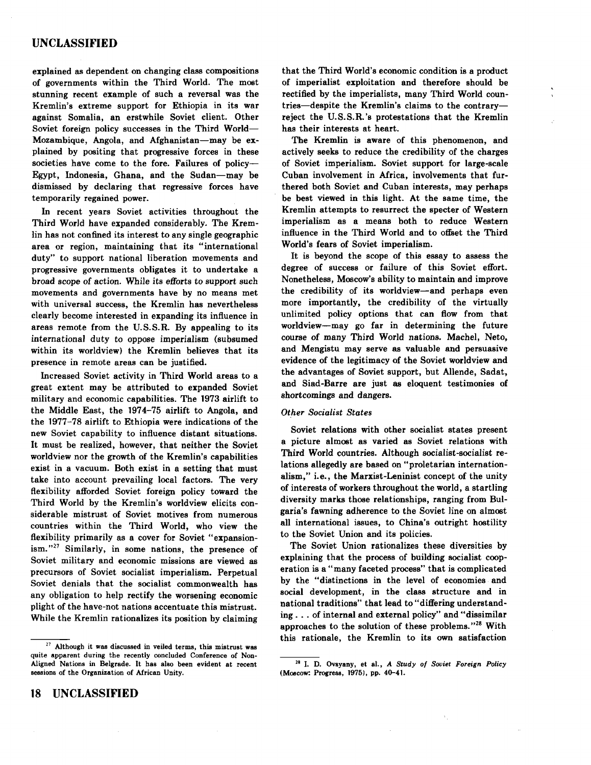# **UNCLASSIFIED**

explained as dependent on changing class compositions of governments within the Third World. The most stunning recent example of such a reversal was the Kremlin's extreme support for Ethiopia in its war against Somalia, an erstwhile Soviet client. Other Soviet foreign policy successes in the Third World-Mozambique, Angola, and Afghanistan-may be explained by positing that progressive forces in these societies have come to the fore. Failures of policy-Egypt, Indonesia, Ghana, and the Sudan-may be dismissed by declaring that regressive forces have temporarily regained power.

In recent years Soviet activities throughout the Third World have expanded considerably. The Kremlin has not confined its interest to any single geographic area or region, maintaining that its "international duty" to support national liberation movements and progressive governments obligates it to undertake a broad scope of action. While its efforts to support such movements and governments have by no means met with universal success, the Kremlin has nevertheless clearly become interested in expanding its influence in areas remote from the U.S.S.R. By appealing to its international duty to oppose imperialism (subsumed within its worldview) the Kremlin believes that its presence in remote areas can be justified.

Increased Soviet activity in Third World areas to a great extent may be attributed to expanded Soviet military and economic capabilities. The 1973 airlift to the Middle East, the 1974-75 airlift to Angola, and the 1977-78 airlift to Ethiopia were indications of the new Soviet capability to influence distant situations. It must be realized, however, that neither the Soviet worldview nor the growth of the Kremlin's capabilities exist in a vacuum. Both exist in a setting that must take into account prevailing local factors. The very flexibility afforded Soviet foreign policy toward the Third World by the Kremlin's worldview elicits considerable mistrust of Soviet motives from numerous countries within the Third World, who view the flexibility primarily as a cover for Soviet "expansion $ism.$ "<sup>27</sup> Similarly, in some nations, the presence of Soviet military and economic missions are viewed as precursors of Soviet socialist imperialism. Perpetual Soviet denials that the socialist commonwealth has any obligation to help rectify the worsening economic plight of the have-not nations accentuate this mistrust. While the Kremlin rationalizes its position by claiming

that the Third World's economic condition is a product of imperialist exploitation and therefore should be rectified by the imperialists, many Third World countries-despite the Kremlin's claims to the contraryreject the U.S.S.R. 's protestations that the Kremlin has their interests at heart.

The Kremlin is aware of this phenomenon, and actively seeks to reduce the credibility of the charges of Soviet imperialism. Soviet support for large-scale Cuban involvement in Africa, involvements that furthered both Soviet and Cuban interests, may perhaps be best viewed in this light. At the same time, the Kremlin attempts to resurrect the specter of Western imperialism as a means both to reduce Western influence in the Third World and to offset the Third World's fears of Soviet imperialism.

It is beyond the scope of this essay to assess the degree of success or failure of this Soviet effort. Nonetheless, Moscow's ability to maintain and improve the credibility of its worldview-and perhaps even more importantly, the credibility of the virtually unlimited policy options that can flow from that worldview-may go far in determining the future course of many Third World nations. Machel, Neto, and Mengistu may serve as valuable and persuasive evidence of the legitimacy of the Soviet worldview and the advantages of Soviet support, but Allende, Sadat, and Siad-Barre are just as eloquent testimonies of shortcomings and dangers.

#### **Other Socialist States**

Soviet relations with other socialist states present a picture almost as varied as Soviet relations with Third World countries. Although socialist-socialist relations allegedly are based on "proletarian internationalism," i.e., the Marxist-Leninist concept of the unity of interests of workers throughout the world, a startling diversity marks those relationships, ranging from Bulgaria's fawning adherence to the Soviet line on almost all international issues, to China's outright hostility to the Soviet Union and its policies.

The Soviet Union rationalizes these diversities by explaining that the process of building socialist cooperation is a "many faceted process" that is complicated by the "distinctions in the level of economies and social development, in the class structure and in national traditions" that lead to "differing understanding ... of internal and external policy" and "dissimilar approaches to the solution of these problems."<sup>28</sup> With this rationale, the Kremlin to its own satisfaction

 $27$  Although it was discussed in veiled terms, this mistrust was quite apparent during the recently concluded Conference of Non-Aligned Nations in Belgrade. It has also been evident at recent sessions of the Organization of African Unity.

<sup>28</sup> I. D. Ovsyany, et al., *A Study of Soviet Foreign Policy*  (Moscow: Progress, 1975), pp. 40-41.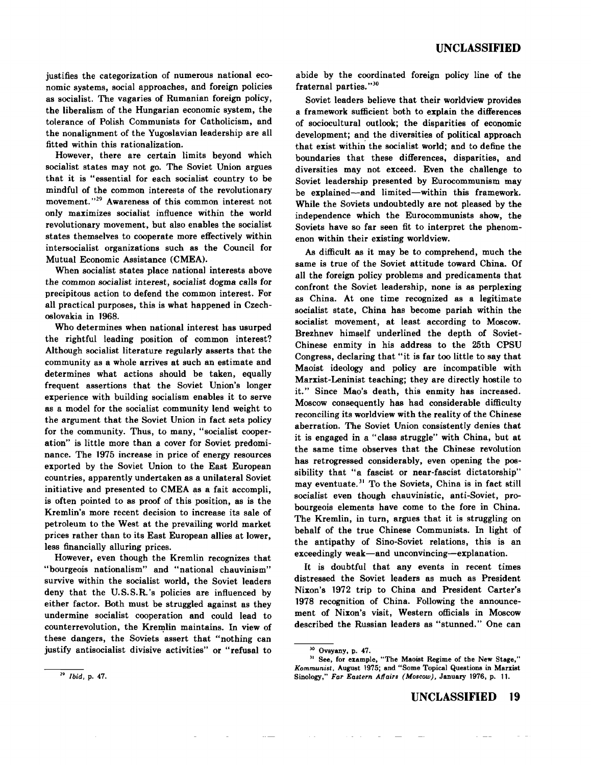justifies the categorization of numerous national economic systems, social approaches, and foreign policies as socialist. The vagaries of Rumanian foreign policy, the liberalism of the Hungarian economic system, the tolerance of Polish Communists for Catholicism, and the nonalignment of the Yugoslavian leadership are all fitted within this rationalization.

However, there are certain limits beyond which socialist states may not go. The Soviet Union argues that it is "essential for each socialist country to be mindful of the common interests of the revolutionary movement."<sup>29</sup> Awareness of this common interest not only maximizes socialist influence within the world revolutionary movement, but also enables the socialist states themselves to cooperate more effectively within intersocialist organizations such as the Council for Mutual Economic Assistance (CMEA).

When socialist states place national interests above the common socialist interest, socialist dogma calls for precipitous action to defend the common interest. For all practical purposes, this is what happened in Czechoslovakia in 1968.

Who determines when national interest has usurped the rightful leading position of common interest? Although socialist literature regularly asserts that the community as a whole arrives at such an estimate and determines what actions should be taken, equally frequent assertions that the Soviet Union's longer experience with building socialism enables it to serve as a model for the socialist community lend weight to the argument that the Soviet Union in fact sets policy for the community. Thus, to many, "socialist cooperation" is little more than a cover for Soviet predominance. The 1975 increase in price of energy resources exported by the Soviet Union to the East European countries, apparently undertaken as a unilateral Soviet initiative and presented to CMEA as a fait accompli, is often pointed to as proof of this position, as is the Kremlin's more recent decision to increase its sale of petroleum to the West at the prevailing world market prices rather than to its East European allies at lower, less financially alluring prices.

However, even though the Kremlin recognizes that "bourgeois nationalism" and "national chauvinism" survive within the socialist world, the Soviet leaders deny that the U.S.S.R.'s policies are influenced by either factor. Both must be struggled against as they undermine socialist cooperation and could lead to counterrevolution, the Kremlin maintains. In view of these dangers, the Soviets assert that "nothing can justify antisocialist divisive activities" or "refusal to

abide by the coordinated foreign policy line of the fraternal parties."<sup>30</sup>

Soviet leaders believe that their worldview provides a framework sufficient both to explain the differences of sociocultural outlook; the disparities of economic development; and the diversities of political approach that exist within the socialist world; and to define the boundaries that these differences, disparities, and diversities may not exceed. Even the challenge to Soviet leadership presented by Eurocommunism may be explained-and limited-within this framework. While the Soviets undoubtedly are not pleased by the independence which the Eurocommunists show, the Soviets have so far seen fit to interpret the phenomenon within their existing worldview.

As difficult as it may be to comprehend, much the same is true of the Soviet attitude toward China. Of all the foreign policy problems and predicaments that confront the Soviet leadership, none is as perplexing as China. At one time recognized as a legitimate socialist state, China has become pariah within the socialist movement, at least according to Moscow. Brezhnev himself underlined the depth of Soviet-Chinese enmity in his address to the 25th CPSU Congress, declaring that "it is far too little to say that Maoist ideology and policy are incompatible with Marxist-Leninist teaching; they are directly hostile to it." Since Mao's death, this enmity has increased. Moscow consequently has had considerable difficulty reconciling its worldview with the reality of the Chinese aberration. The Soviet Union consistently denies that it is engaged in a "class struggle" with China, but at the same time observes that the Chinese revolution has retrogressed considerably, even opening the possibility that "a fascist or near-fascist dictatorship" may eventuate.<sup>31</sup> To the Soviets, China is in fact still socialist even though chauvinistic, anti-Soviet, probourgeois elements have come to the fore in China. The Kremlin, in turn, argues that it is struggling on behalf of the true Chinese Communists. In light of the antipathy of Sino-Soviet relations, this is an exceedingly weak-and unconvincing-explanation.

It is doubtful that any events in recent times distressed the Soviet leaders as much as President Nixon's 1972 trip to China and President Carter's 1978 recognition of China. Following the announcement of Nixon's visit, Western officials in Moscow described the Russian leaders as "stunned." One can

Ovsyany, p. 47.

<sup>&</sup>lt;sup>31</sup> See, for example, "The Maoist Regime of the New Stage," *Kommunist,* August 1975; and "Some Topical Questions in Marxist Sinology," *Far Eastern Affairs (Moscow),* January 1976, p. 11.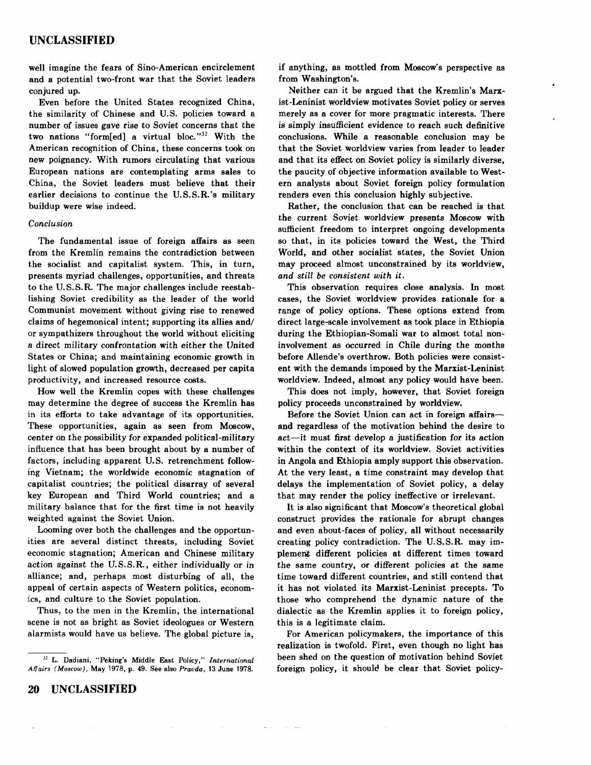well imagine the fears of Sino-American encirclement and a potential two-front war that the Soviet leaders conjured up.

Even before the United States recognized China, the similarity of Chinese and U.S. policies toward a number of issues gave rise to Soviet concerns that the two nations "form[ed] a virtual bloc." $32$  With the American recognition of China, these concerns took on new poignancy. With rumors circulating that various European nations are contemplating arms sales to China, the Soviet leaders must believe that their earlier decisions to continue the U.S.S.R.'s military buildup were wise indeed.

#### *Conclusion*

The fundamental issue of foreign affairs as seen from the Kremlin remains the contradiction between the socialist and capitalist system. This, in turn, presents myriad challenges, opportunities, and threats to the U.S.S.R. The major challenges include reestablishing Soviet credibility as the leader of the world Communist movement without giving rise to renewed claims of hegemonical intent; supporting its allies and/ or sympathizers throughout the world without eliciting a direct military confrontation with either the United States or China; and maintaining economic growth in light of slowed population growth, decreased per capita productivity, and increased resource costs.

How well the Kremlin copes with these challenges may determine the degree of success the Kremlin has in its efforts to take advantage of its opportunities. These opportunities, again as seen from Moscow, center on the possibility for expanded political-military influence that has been brought about by a number of factors, including apparent U.S. retrenchment following Vietnam; the worldwide economic stagnation of capitalist countries; the political disarray of several key European and Third World countries; and a military balance that for the first time is not heavily weighted against the Soviet Union.

Looming over both the challenges and the opportunities are several distinct threats, including Soviet economic stagnation; American and Chinese military action against the U.S.S.R., either individually or in alliance; and, perhaps most disturbing of all, the appeal of certain aspects of Western politics, economics, and culture to the Soviet population.

Thus, to the men in the Kremlin, the international scene is not as bright as Soviet ideologues or Western alarmists would have us believe. The global picture is,

 $\bar{z}$ 

 $\sim$ 

if anything, as mottled from Moscow's perspective as from Washington's.

Neither can it be argued that the Kremlin's Marxist-Leninist worldview motivates Soviet policy or serves merely as a cover for more pragmatic interests. There is simply insufficient evidence to reach such definitive conclusions. While a reasonable conclusion may be that the Soviet worldview varies from leader to leader and that its effect on Soviet policy is similarly diverse, the paucity of objective information available to Western analysts about Soviet foreign policy formulation renders even this conclusion highly subjective.

Rather, the conclusion that can be reached is that the current Soviet worldview presents Moscow with sufficient freedom to interpret ongoing developments so that, in its policies toward the West, the Third World, and other socialist states, the Soviet Union may proceed almost unconstrained by its worldview, *and still be consistent with it.* 

This observation requires close analysis. In most cases, the Soviet worldview provides rationale for a range of policy options. These options extend from direct large-scale involvement as took place in Ethiopia during the Ethiopian-Somali war to almost total noninvolvement as occurred in Chile during the months before Allende's overthrow. Both policies were consistent with the demands imposed by the Marxist-Leninist worldview. Indeed, almost any policy would have been.

This does not imply, however, that Soviet foreign policy proceeds unconstrained by worldview.

Before the Soviet Union can act in foreign affairsand regardless of the motivation behind the desire to act-it must first develop a justification for its action within the context of its worldview. Soviet activities in Angola and Ethiopia amply support this observation. At the very least, a time constraint may develop that delays the implementation of Soviet policy, a delay that may render the policy ineffective or irrelevant.

It is also significant that Moscow's theoretical global construct provides the rationale for abrupt changes and even about-faces of policy, all without necessarily creating policy contradiction. The U.S. S.R. may implement different policies at different times toward the same country, or different policies at the same time toward different countries, and still contend that it has not violated its Marxist-Leninist precepts. To those who comprehend the dynamic nature of the dialectic as the Kremlin applies it to foreign policy, this is a legitimate claim.

For American policymakers, the importance of this realization is twofold. First, even though no light has been shed on the question of motivation behind Soviet foreign policy, it should be clear that Soviet policy-

*<sup>32</sup>*L. Dadiani, "Peking's Middle East Policy," *International Affairs (Moscow),* May 1978, p. 49. See also *Pravda,* 13 June 1978.